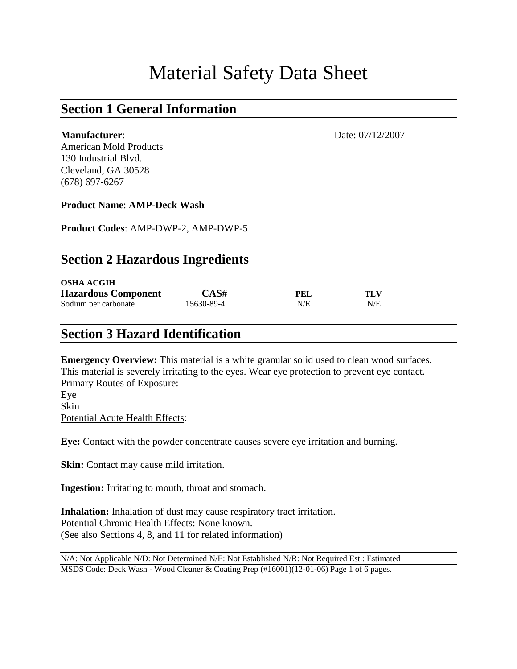# Material Safety Data Sheet

#### **Section 1 General Information**

American Mold Products 130 Industrial Blvd. Cleveland, GA 30528 (678) 697-6267

**Product Name**: **AMP-Deck Wash**

**Product Codes**: AMP-DWP-2, AMP-DWP-5

| <b>Section 2 Hazardous Ingredients</b> |            |     |     |  |  |
|----------------------------------------|------------|-----|-----|--|--|
| <b>OSHA ACGIH</b>                      |            |     |     |  |  |
| <b>Hazardous Component</b>             | CAS#       | PEL | TLV |  |  |
| Sodium per carbonate                   | 15630-89-4 | N/E | N/E |  |  |

#### **Section 3 Hazard Identification**

**Emergency Overview:** This material is a white granular solid used to clean wood surfaces. This material is severely irritating to the eyes. Wear eye protection to prevent eye contact. Primary Routes of Exposure: Eye Skin Potential Acute Health Effects:

**Eye:** Contact with the powder concentrate causes severe eye irritation and burning.

**Skin:** Contact may cause mild irritation.

**Ingestion:** Irritating to mouth, throat and stomach.

**Inhalation:** Inhalation of dust may cause respiratory tract irritation. Potential Chronic Health Effects: None known. (See also Sections 4, 8, and 11 for related information)

N/A: Not Applicable N/D: Not Determined N/E: Not Established N/R: Not Required Est.: Estimated MSDS Code: Deck Wash - Wood Cleaner & Coating Prep (#16001)(12-01-06) Page 1 of 6 pages.

**Manufacturer:** Date: 07/12/2007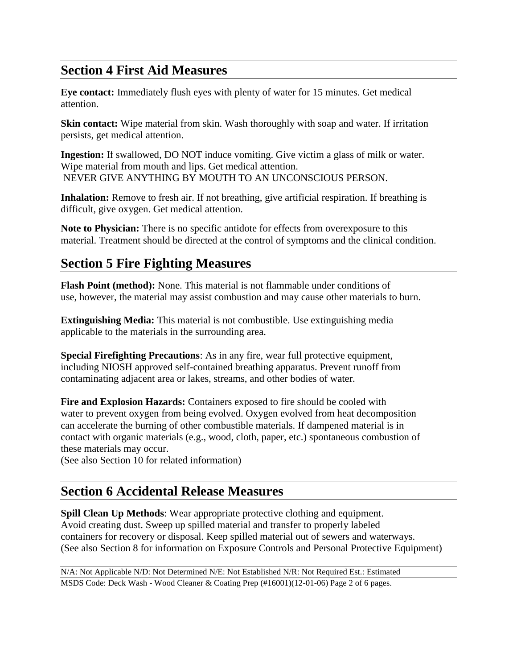#### **Section 4 First Aid Measures**

**Eye contact:** Immediately flush eyes with plenty of water for 15 minutes. Get medical attention.

**Skin contact:** Wipe material from skin. Wash thoroughly with soap and water. If irritation persists, get medical attention.

**Ingestion:** If swallowed, DO NOT induce vomiting. Give victim a glass of milk or water. Wipe material from mouth and lips. Get medical attention. NEVER GIVE ANYTHING BY MOUTH TO AN UNCONSCIOUS PERSON.

**Inhalation:** Remove to fresh air. If not breathing, give artificial respiration. If breathing is difficult, give oxygen. Get medical attention.

**Note to Physician:** There is no specific antidote for effects from overexposure to this material. Treatment should be directed at the control of symptoms and the clinical condition.

### **Section 5 Fire Fighting Measures**

**Flash Point (method):** None. This material is not flammable under conditions of use, however, the material may assist combustion and may cause other materials to burn.

**Extinguishing Media:** This material is not combustible. Use extinguishing media applicable to the materials in the surrounding area.

**Special Firefighting Precautions**: As in any fire, wear full protective equipment, including NIOSH approved self-contained breathing apparatus. Prevent runoff from contaminating adjacent area or lakes, streams, and other bodies of water.

**Fire and Explosion Hazards:** Containers exposed to fire should be cooled with water to prevent oxygen from being evolved. Oxygen evolved from heat decomposition can accelerate the burning of other combustible materials. If dampened material is in contact with organic materials (e.g., wood, cloth, paper, etc.) spontaneous combustion of these materials may occur.

(See also Section 10 for related information)

#### **Section 6 Accidental Release Measures**

**Spill Clean Up Methods**: Wear appropriate protective clothing and equipment. Avoid creating dust. Sweep up spilled material and transfer to properly labeled containers for recovery or disposal. Keep spilled material out of sewers and waterways. (See also Section 8 for information on Exposure Controls and Personal Protective Equipment)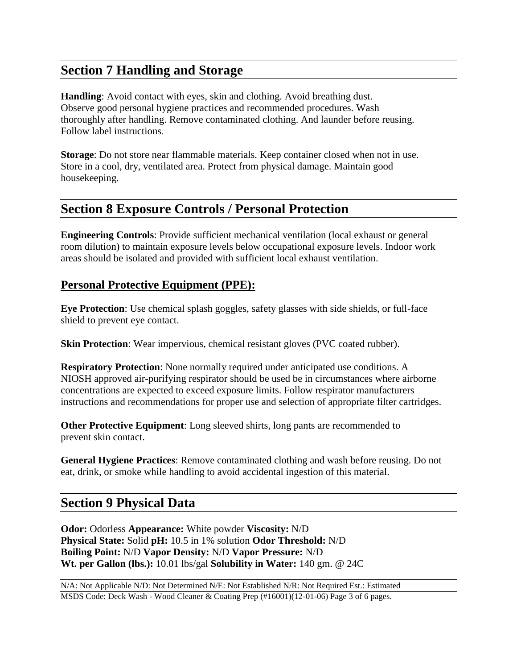## **Section 7 Handling and Storage**

**Handling**: Avoid contact with eyes, skin and clothing. Avoid breathing dust. Observe good personal hygiene practices and recommended procedures. Wash thoroughly after handling. Remove contaminated clothing. And launder before reusing. Follow label instructions.

**Storage**: Do not store near flammable materials. Keep container closed when not in use. Store in a cool, dry, ventilated area. Protect from physical damage. Maintain good housekeeping.

#### **Section 8 Exposure Controls / Personal Protection**

**Engineering Controls**: Provide sufficient mechanical ventilation (local exhaust or general room dilution) to maintain exposure levels below occupational exposure levels. Indoor work areas should be isolated and provided with sufficient local exhaust ventilation.

#### **Personal Protective Equipment (PPE):**

**Eye Protection**: Use chemical splash goggles, safety glasses with side shields, or full-face shield to prevent eye contact.

**Skin Protection**: Wear impervious, chemical resistant gloves (PVC coated rubber).

**Respiratory Protection**: None normally required under anticipated use conditions. A NIOSH approved air-purifying respirator should be used be in circumstances where airborne concentrations are expected to exceed exposure limits. Follow respirator manufacturers instructions and recommendations for proper use and selection of appropriate filter cartridges.

**Other Protective Equipment**: Long sleeved shirts, long pants are recommended to prevent skin contact.

**General Hygiene Practices**: Remove contaminated clothing and wash before reusing. Do not eat, drink, or smoke while handling to avoid accidental ingestion of this material.

#### **Section 9 Physical Data**

**Odor:** Odorless **Appearance:** White powder **Viscosity:** N/D **Physical State:** Solid **pH:** 10.5 in 1% solution **Odor Threshold:** N/D **Boiling Point:** N/D **Vapor Density:** N/D **Vapor Pressure:** N/D **Wt. per Gallon (lbs.):** 10.01 lbs/gal **Solubility in Water:** 140 gm. @ 24C

N/A: Not Applicable N/D: Not Determined N/E: Not Established N/R: Not Required Est.: Estimated MSDS Code: Deck Wash - Wood Cleaner & Coating Prep (#16001)(12-01-06) Page 3 of 6 pages.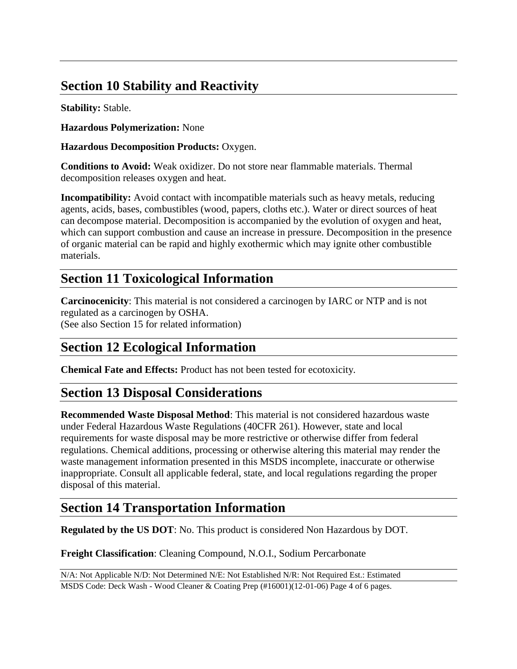## **Section 10 Stability and Reactivity**

**Stability:** Stable.

**Hazardous Polymerization:** None

**Hazardous Decomposition Products:** Oxygen.

**Conditions to Avoid:** Weak oxidizer. Do not store near flammable materials. Thermal decomposition releases oxygen and heat.

**Incompatibility:** Avoid contact with incompatible materials such as heavy metals, reducing agents, acids, bases, combustibles (wood, papers, cloths etc.). Water or direct sources of heat can decompose material. Decomposition is accompanied by the evolution of oxygen and heat, which can support combustion and cause an increase in pressure. Decomposition in the presence of organic material can be rapid and highly exothermic which may ignite other combustible materials.

### **Section 11 Toxicological Information**

**Carcinocenicity**: This material is not considered a carcinogen by IARC or NTP and is not regulated as a carcinogen by OSHA. (See also Section 15 for related information)

## **Section 12 Ecological Information**

**Chemical Fate and Effects:** Product has not been tested for ecotoxicity.

### **Section 13 Disposal Considerations**

**Recommended Waste Disposal Method**: This material is not considered hazardous waste under Federal Hazardous Waste Regulations (40CFR 261). However, state and local requirements for waste disposal may be more restrictive or otherwise differ from federal regulations. Chemical additions, processing or otherwise altering this material may render the waste management information presented in this MSDS incomplete, inaccurate or otherwise inappropriate. Consult all applicable federal, state, and local regulations regarding the proper disposal of this material.

## **Section 14 Transportation Information**

**Regulated by the US DOT**: No. This product is considered Non Hazardous by DOT.

**Freight Classification**: Cleaning Compound, N.O.I., Sodium Percarbonate

```
N/A: Not Applicable N/D: Not Determined N/E: Not Established N/R: Not Required Est.: Estimated
MSDS Code: Deck Wash - Wood Cleaner & Coating Prep (#16001)(12-01-06) Page 4 of 6 pages.
```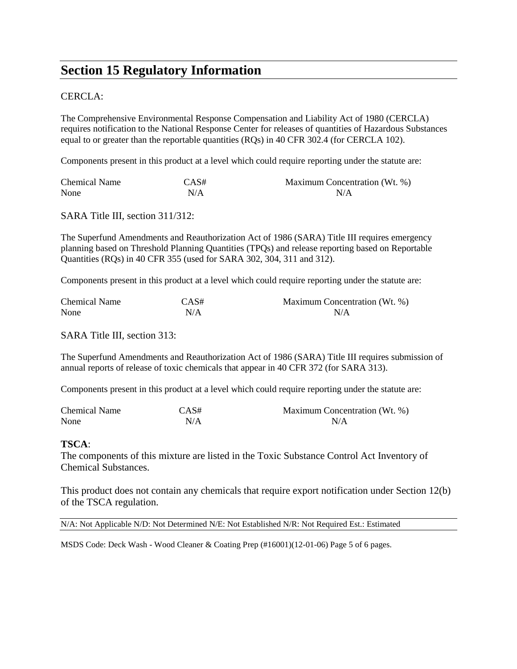#### **Section 15 Regulatory Information**

#### CERCLA:

The Comprehensive Environmental Response Compensation and Liability Act of 1980 (CERCLA) requires notification to the National Response Center for releases of quantities of Hazardous Substances equal to or greater than the reportable quantities (RQs) in 40 CFR 302.4 (for CERCLA 102).

Components present in this product at a level which could require reporting under the statute are:

| <b>Chemical Name</b> | CAS# | Maximum Concentration (Wt. %) |
|----------------------|------|-------------------------------|
| None                 | N/A  | N/A                           |

SARA Title III, section 311/312:

The Superfund Amendments and Reauthorization Act of 1986 (SARA) Title III requires emergency planning based on Threshold Planning Quantities (TPQs) and release reporting based on Reportable Quantities (RQs) in 40 CFR 355 (used for SARA 302, 304, 311 and 312).

Components present in this product at a level which could require reporting under the statute are:

| <b>Chemical Name</b> | CAS# | Maximum Concentration (Wt. %) |
|----------------------|------|-------------------------------|
| None                 | N/A  | N/A                           |

SARA Title III, section 313:

The Superfund Amendments and Reauthorization Act of 1986 (SARA) Title III requires submission of annual reports of release of toxic chemicals that appear in 40 CFR 372 (for SARA 313).

Components present in this product at a level which could require reporting under the statute are:

| <b>Chemical Name</b> | CAS# | Maximum Concentration (Wt. %) |
|----------------------|------|-------------------------------|
| None                 | N/A  | N/A                           |

#### **TSCA**:

The components of this mixture are listed in the Toxic Substance Control Act Inventory of Chemical Substances.

This product does not contain any chemicals that require export notification under Section 12(b) of the TSCA regulation.

N/A: Not Applicable N/D: Not Determined N/E: Not Established N/R: Not Required Est.: Estimated

MSDS Code: Deck Wash - Wood Cleaner & Coating Prep (#16001)(12-01-06) Page 5 of 6 pages.